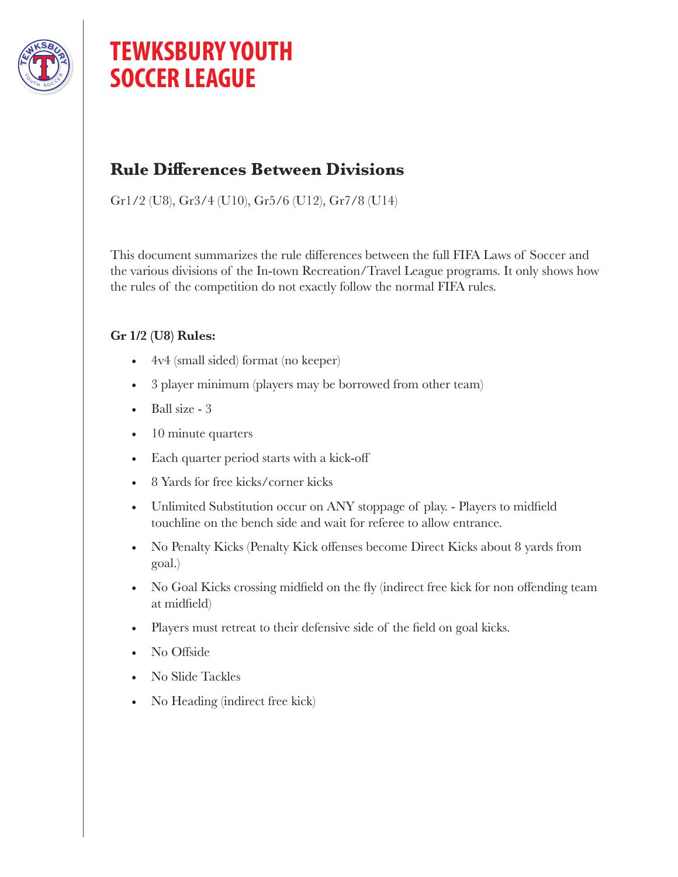

# **TEWKSBURY YOUTH SOCCER LEAGUE**

## **Rule Differences Between Divisions**

Gr1/2 (U8), Gr3/4 (U10), Gr5/6 (U12), Gr7/8 (U14)

This document summarizes the rule differences between the full FIFA Laws of Soccer and the various divisions of the In-town Recreation/Travel League programs. It only shows how the rules of the competition do not exactly follow the normal FIFA rules.

### **Gr 1/2 (U8) Rules:**

- 4v4 (small sided) format (no keeper)
- 3 player minimum (players may be borrowed from other team)
- Ball size 3
- 10 minute quarters
- Each quarter period starts with a kick-off
- 8 Yards for free kicks/corner kicks
- Unlimited Substitution occur on ANY stoppage of play. Players to midfield touchline on the bench side and wait for referee to allow entrance.
- No Penalty Kicks (Penalty Kick offenses become Direct Kicks about 8 yards from goal.)
- No Goal Kicks crossing midfield on the fly (indirect free kick for non offending team at midfield)
- Players must retreat to their defensive side of the field on goal kicks.
- No Offside
- No Slide Tackles
- No Heading (indirect free kick)